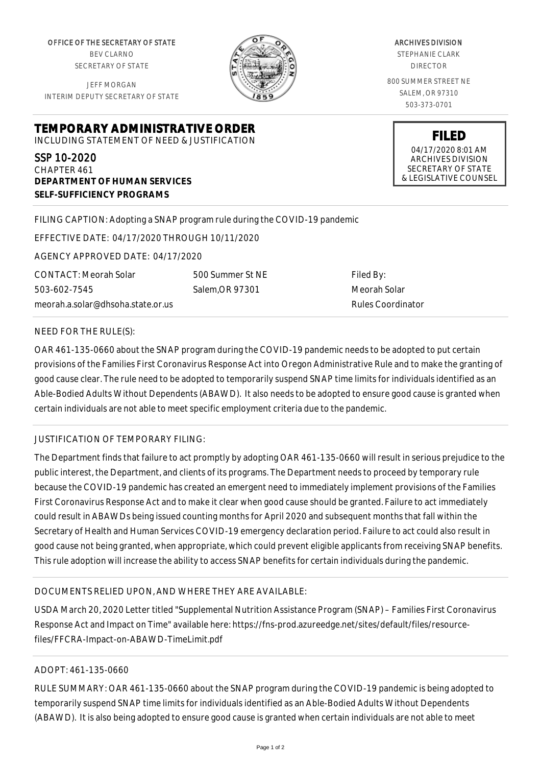OFFICE OF THE SECRETARY OF STATE BEV CLARNO SECRETARY OF STATE

JEFF MORGAN INTERIM DEPUTY SECRETARY OF STATE

**DEPARTMENT OF HUMAN SERVICES**

**SELF-SUFFICIENCY PROGRAMS**



ARCHIVES DIVISION

STEPHANIE CLARK DIRECTOR

800 SUMMER STREET NE SALEM, OR 97310 503-373-0701

> **FILED** 04/17/2020 8:01 AM ARCHIVES DIVISION SECRETARY OF STATE

& LEGISLATIVE COUNSEL

FILING CAPTION: Adopting a SNAP program rule during the COVID-19 pandemic

EFFECTIVE DATE: 04/17/2020 THROUGH 10/11/2020

**TEMPORARY ADMINISTRATIVE ORDER** INCLUDING STATEMENT OF NEED & JUSTIFICATION

AGENCY APPROVED DATE: 04/17/2020

CONTACT: Meorah Solar 503-602-7545 meorah.a.solar@dhsoha.state.or.us 500 Summer St NE Salem,OR 97301

Filed By: Meorah Solar Rules Coordinator

#### NEED FOR THE RULE(S):

SSP 10-2020 CHAPTER 461

OAR 461-135-0660 about the SNAP program during the COVID-19 pandemic needs to be adopted to put certain provisions of the Families First Coronavirus Response Act into Oregon Administrative Rule and to make the granting of good cause clear. The rule need to be adopted to temporarily suspend SNAP time limits for individuals identified as an Able-Bodied Adults Without Dependents (ABAWD). It also needs to be adopted to ensure good cause is granted when certain individuals are not able to meet specific employment criteria due to the pandemic.

## JUSTIFICATION OF TEMPORARY FILING:

The Department finds that failure to act promptly by adopting OAR 461-135-0660 will result in serious prejudice to the public interest, the Department, and clients of its programs. The Department needs to proceed by temporary rule because the COVID-19 pandemic has created an emergent need to immediately implement provisions of the Families First Coronavirus Response Act and to make it clear when good cause should be granted. Failure to act immediately could result in ABAWDs being issued counting months for April 2020 and subsequent months that fall within the Secretary of Health and Human Services COVID-19 emergency declaration period. Failure to act could also result in good cause not being granted, when appropriate, which could prevent eligible applicants from receiving SNAP benefits. This rule adoption will increase the ability to access SNAP benefits for certain individuals during the pandemic.

## DOCUMENTS RELIED UPON, AND WHERE THEY ARE AVAILABLE:

USDA March 20, 2020 Letter titled "Supplemental Nutrition Assistance Program (SNAP) – Families First Coronavirus Response Act and Impact on Time" available here: https://fns-prod.azureedge.net/sites/default/files/resourcefiles/FFCRA-Impact-on-ABAWD-TimeLimit.pdf

#### ADOPT: 461-135-0660

RULE SUMMARY: OAR 461-135-0660 about the SNAP program during the COVID-19 pandemic is being adopted to temporarily suspend SNAP time limits for individuals identified as an Able-Bodied Adults Without Dependents (ABAWD). It is also being adopted to ensure good cause is granted when certain individuals are not able to meet